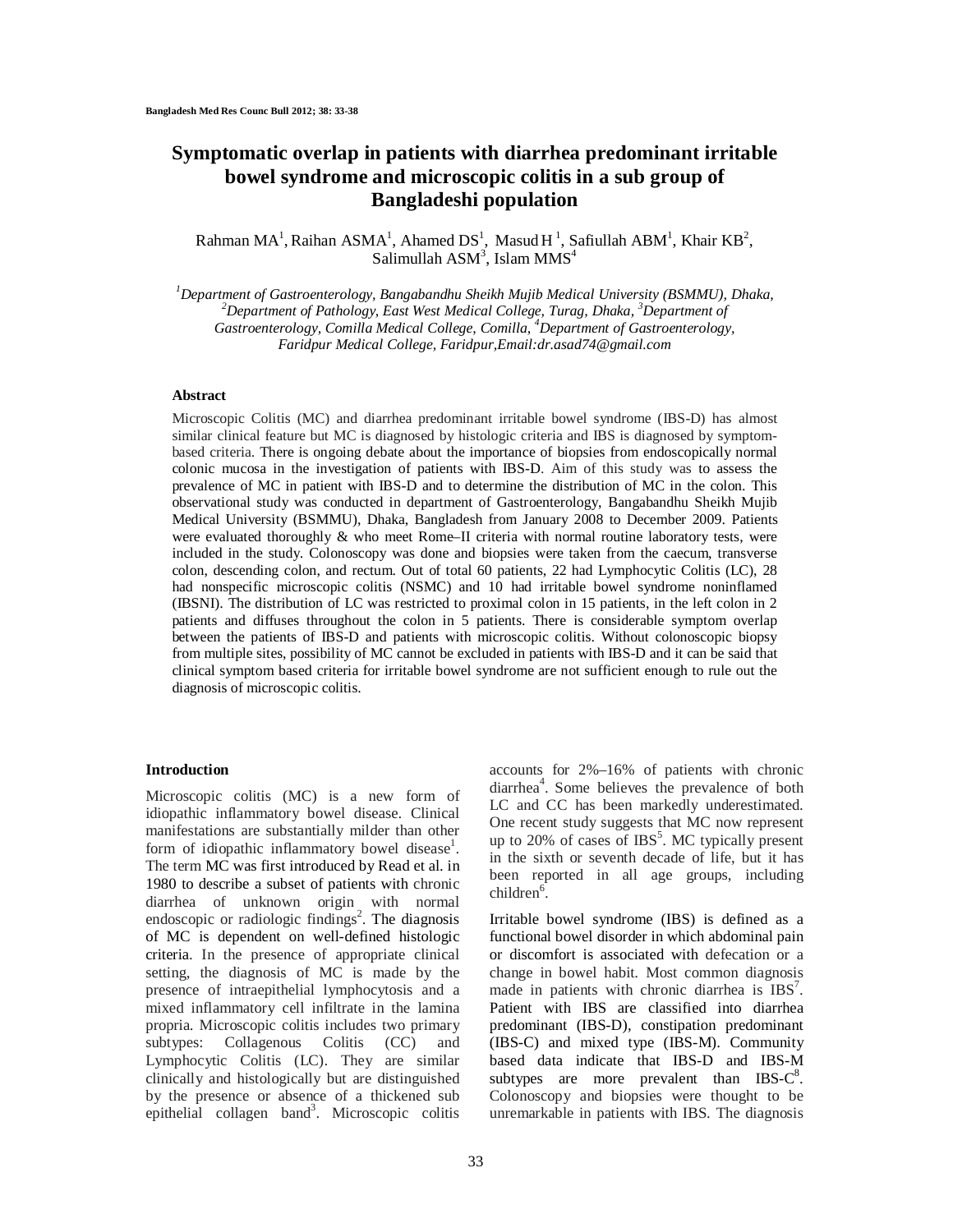# **Symptomatic overlap in patients with diarrhea predominant irritable bowel syndrome and microscopic colitis in a sub group of Bangladeshi population**

Rahman MA<sup>1</sup>, Raihan ASMA<sup>1</sup>, Ahamed DS<sup>1</sup>, Masud H<sup>1</sup>, Safiullah ABM<sup>1</sup>, Khair KB<sup>2</sup>, Salimullah ASM $^3$ , Islam MMS $^4$ 

*<sup>1</sup>Department of Gastroenterology, Bangabandhu Sheikh Mujib Medical University (BSMMU), Dhaka, <sup>2</sup>Department of Pathology, East West Medical College, Turag, Dhaka, <sup>3</sup>Department of Gastroenterology, Comilla Medical College, Comilla, <sup>4</sup>Department of Gastroenterology, Faridpur Medical College, Faridpur,Email:dr.asad74@gmail.com*

# **Abstract**

Microscopic Colitis (MC) and diarrhea predominant irritable bowel syndrome (IBS-D) has almost similar clinical feature but MC is diagnosed by histologic criteria and IBS is diagnosed by symptombased criteria. There is ongoing debate about the importance of biopsies from endoscopically normal colonic mucosa in the investigation of patients with IBS-D. Aim of this study was to assess the prevalence of MC in patient with IBS-D and to determine the distribution of MC in the colon. This observational study was conducted in department of Gastroenterology, Bangabandhu Sheikh Mujib Medical University (BSMMU), Dhaka, Bangladesh from January 2008 to December 2009. Patients were evaluated thoroughly & who meet Rome–II criteria with normal routine laboratory tests, were included in the study. Colonoscopy was done and biopsies were taken from the caecum, transverse colon, descending colon, and rectum. Out of total 60 patients, 22 had Lymphocytic Colitis (LC), 28 had nonspecific microscopic colitis (NSMC) and 10 had irritable bowel syndrome noninflamed (IBSNI). The distribution of LC was restricted to proximal colon in 15 patients, in the left colon in 2 patients and diffuses throughout the colon in 5 patients. There is considerable symptom overlap between the patients of IBS-D and patients with microscopic colitis. Without colonoscopic biopsy from multiple sites, possibility of MC cannot be excluded in patients with IBS-D and it can be said that clinical symptom based criteria for irritable bowel syndrome are not sufficient enough to rule out the diagnosis of microscopic colitis.

## **Introduction**

Microscopic colitis (MC) is a new form of idiopathic inflammatory bowel disease. Clinical manifestations are substantially milder than other form of idiopathic inflammatory bowel disease<sup>1</sup>. The term MC was first introduced by Read et al. in 1980 to describe a subset of patients with chronic diarrhea of unknown origin with normal endoscopic or radiologic findings<sup>2</sup>. The diagnosis of MC is dependent on well-defined histologic criteria. In the presence of appropriate clinical setting, the diagnosis of MC is made by the presence of intraepithelial lymphocytosis and a mixed inflammatory cell infiltrate in the lamina propria. Microscopic colitis includes two primary subtypes: Collagenous Colitis (CC) and Lymphocytic Colitis (LC). They are similar clinically and histologically but are distinguished by the presence or absence of a thickened sub epithelial collagen band<sup>3</sup>. Microscopic colitis accounts for 2%–16% of patients with chronic diarrhea<sup>4</sup>. Some believes the prevalence of both LC and CC has been markedly underestimated. One recent study suggests that MC now represent up to 20% of cases of IBS<sup>5</sup>. MC typically present in the sixth or seventh decade of life, but it has been reported in all age groups, including  $children<sup>6</sup>$ .

Irritable bowel syndrome (IBS) is defined as a functional bowel disorder in which abdominal pain or discomfort is associated with defecation or a change in bowel habit. Most common diagnosis made in patients with chronic diarrhea is IBS<sup>7</sup>. Patient with IBS are classified into diarrhea predominant (IBS-D), constipation predominant (IBS-C) and mixed type (IBS-M). Community based data indicate that IBS-D and IBS-M subtypes are more prevalent than  $IBS-C<sup>8</sup>$ . Colonoscopy and biopsies were thought to be unremarkable in patients with IBS. The diagnosis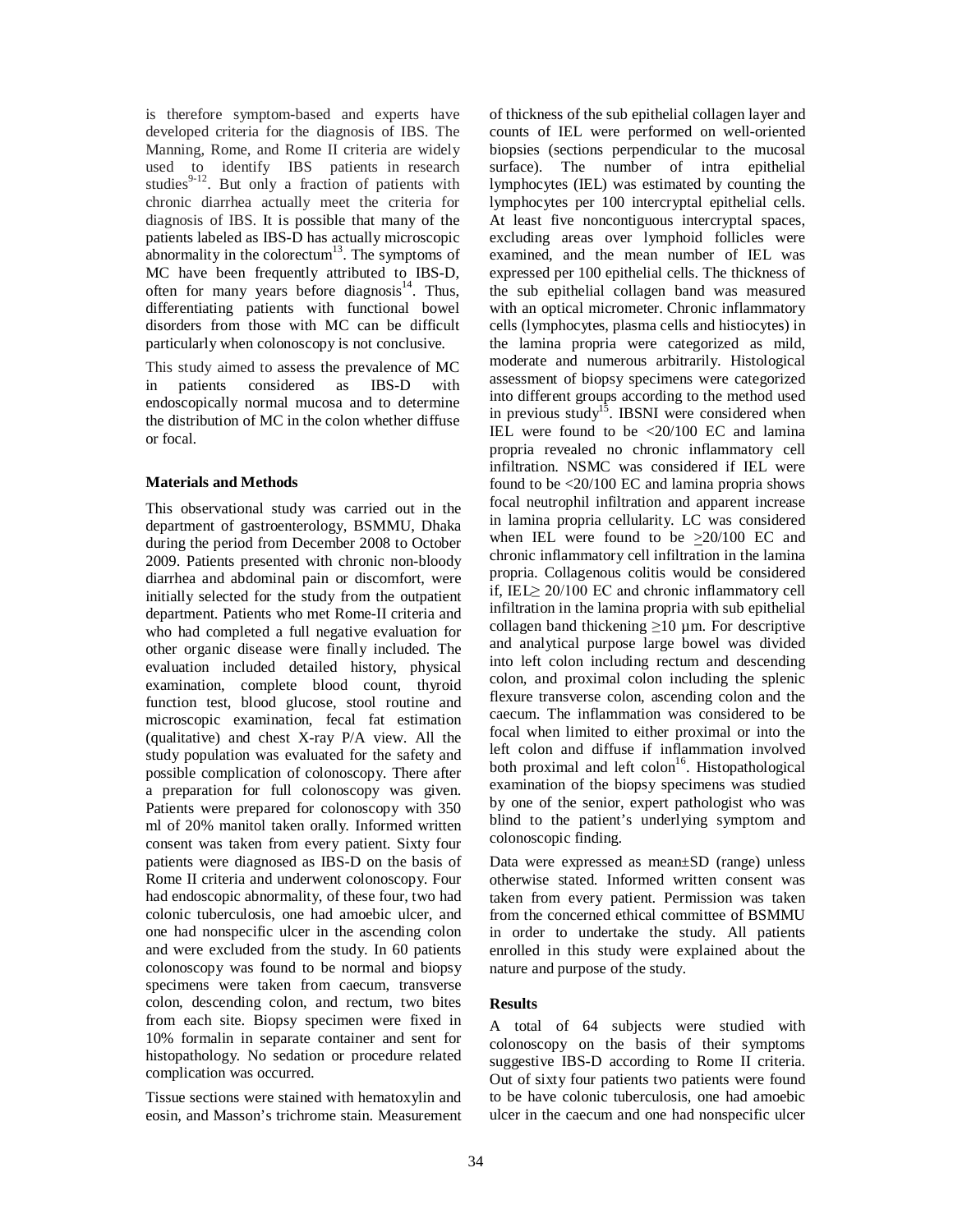is therefore symptom-based and experts have developed criteria for the diagnosis of IBS. The Manning, Rome, and Rome II criteria are widely used to identify IBS patients in research studies $9-12$ . But only a fraction of patients with chronic diarrhea actually meet the criteria for diagnosis of IBS. It is possible that many of the patients labeled as IBS-D has actually microscopic abnormality in the colorectum $13$ . The symptoms of MC have been frequently attributed to IBS-D, often for many years before diagnosis $14$ . Thus, differentiating patients with functional bowel disorders from those with MC can be difficult particularly when colonoscopy is not conclusive.

This study aimed to assess the prevalence of MC in patients considered as IBS-D with endoscopically normal mucosa and to determine the distribution of MC in the colon whether diffuse or focal.

# **Materials and Methods**

This observational study was carried out in the department of gastroenterology, BSMMU, Dhaka during the period from December 2008 to October 2009. Patients presented with chronic non-bloody diarrhea and abdominal pain or discomfort, were initially selected for the study from the outpatient department. Patients who met Rome-II criteria and who had completed a full negative evaluation for other organic disease were finally included. The evaluation included detailed history, physical examination, complete blood count, thyroid function test, blood glucose, stool routine and microscopic examination, fecal fat estimation (qualitative) and chest X-ray P/A view. All the study population was evaluated for the safety and possible complication of colonoscopy. There after a preparation for full colonoscopy was given. Patients were prepared for colonoscopy with 350 ml of 20% manitol taken orally*.* Informed written consent was taken from every patient. Sixty four patients were diagnosed as IBS-D on the basis of Rome II criteria and underwent colonoscopy. Four had endoscopic abnormality, of these four, two had colonic tuberculosis, one had amoebic ulcer, and one had nonspecific ulcer in the ascending colon and were excluded from the study. In 60 patients colonoscopy was found to be normal and biopsy specimens were taken from caecum, transverse colon, descending colon, and rectum, two bites from each site. Biopsy specimen were fixed in 10% formalin in separate container and sent for histopathology. No sedation or procedure related complication was occurred.

Tissue sections were stained with hematoxylin and eosin, and Masson's trichrome stain. Measurement of thickness of the sub epithelial collagen layer and counts of IEL were performed on well-oriented biopsies (sections perpendicular to the mucosal surface). The number of intra epithelial lymphocytes (IEL) was estimated by counting the lymphocytes per 100 intercryptal epithelial cells. At least five noncontiguous intercryptal spaces, excluding areas over lymphoid follicles were examined, and the mean number of IEL was expressed per 100 epithelial cells. The thickness of the sub epithelial collagen band was measured with an optical micrometer. Chronic inflammatory cells (lymphocytes, plasma cells and histiocytes) in the lamina propria were categorized as mild, moderate and numerous arbitrarily. Histological assessment of biopsy specimens were categorized into different groups according to the method used in previous study<sup>15</sup>. IBSNI were considered when IEL were found to be <20/100 EC and lamina propria revealed no chronic inflammatory cell infiltration. NSMC was considered if IEL were found to be <20/100 EC and lamina propria shows focal neutrophil infiltration and apparent increase in lamina propria cellularity. LC was considered when IEL were found to be >20/100 EC and chronic inflammatory cell infiltration in the lamina propria. Collagenous colitis would be considered if, IEL≥ 20/100 EC and chronic inflammatory cell infiltration in the lamina propria with sub epithelial collagen band thickening  $\geq 10 \mu$ m. For descriptive and analytical purpose large bowel was divided into left colon including rectum and descending colon, and proximal colon including the splenic flexure transverse colon, ascending colon and the caecum. The inflammation was considered to be focal when limited to either proximal or into the left colon and diffuse if inflammation involved both proximal and left colon<sup>16</sup>. Histopathological examination of the biopsy specimens was studied by one of the senior, expert pathologist who was blind to the patient's underlying symptom and colonoscopic finding.

Data were expressed as mean±SD (range) unless otherwise stated. Informed written consent was taken from every patient. Permission was taken from the concerned ethical committee of BSMMU in order to undertake the study. All patients enrolled in this study were explained about the nature and purpose of the study.

# **Results**

A total of 64 subjects were studied with colonoscopy on the basis of their symptoms suggestive IBS-D according to Rome II criteria. Out of sixty four patients two patients were found to be have colonic tuberculosis, one had amoebic ulcer in the caecum and one had nonspecific ulcer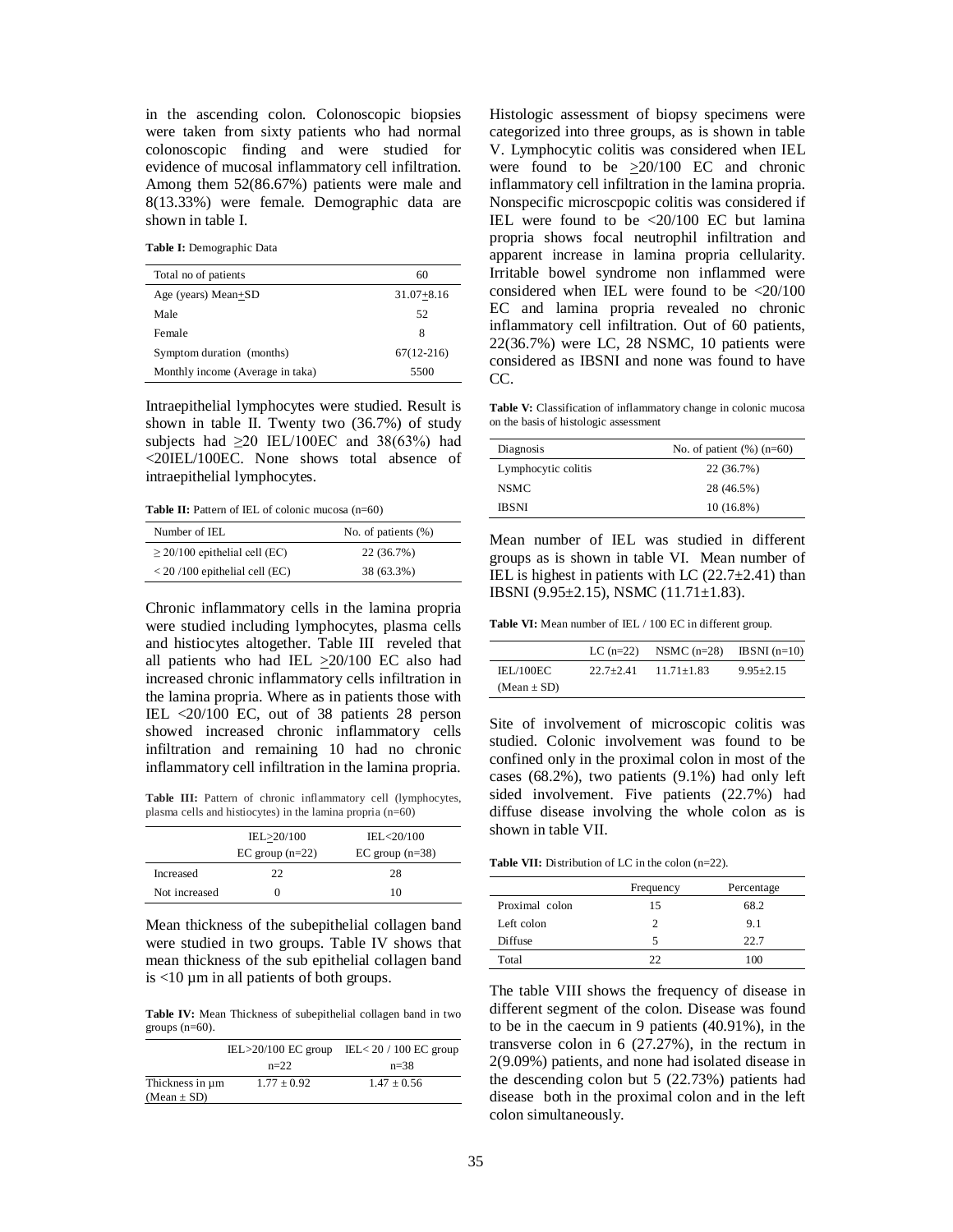in the ascending colon. Colonoscopic biopsies were taken from sixty patients who had normal colonoscopic finding and were studied for evidence of mucosal inflammatory cell infiltration. Among them 52(86.67%) patients were male and 8(13.33%) were female. Demographic data are shown in table I.

**Table I:** Demographic Data

| Total no of patients             | 60             |
|----------------------------------|----------------|
| Age (years) Mean+SD              | $31.07 + 8.16$ |
| Male                             | 52             |
| Female                           | 8              |
| Symptom duration (months)        | $67(12-216)$   |
| Monthly income (Average in taka) | 5500           |

Intraepithelial lymphocytes were studied. Result is shown in table II. Twenty two (36.7%) of study subjects had  $\geq$ 20 IEL/100EC and 38(63%) had <20IEL/100EC. None shows total absence of intraepithelial lymphocytes.

**Table II:** Pattern of IEL of colonic mucosa (n=60)

| Number of IEL                      | No. of patients $(\%)$ |
|------------------------------------|------------------------|
| $\geq$ 20/100 epithelial cell (EC) | 22 (36.7%)             |
| $< 20/100$ epithelial cell (EC)    | 38 (63.3%)             |

Chronic inflammatory cells in the lamina propria were studied including lymphocytes, plasma cells and histiocytes altogether. Table III reveled that all patients who had IEL >20/100 EC also had increased chronic inflammatory cells infiltration in the lamina propria. Where as in patients those with IEL <20/100 EC, out of 38 patients 28 person showed increased chronic inflammatory cells infiltration and remaining 10 had no chronic inflammatory cell infiltration in the lamina propria.

**Table III:** Pattern of chronic inflammatory cell (lymphocytes, plasma cells and histiocytes) in the lamina propria (n=60)

|               | IEL>20/100<br>$EC$ group $(n=22)$ | IEL<20/100<br>$EC$ group $(n=38)$ |
|---------------|-----------------------------------|-----------------------------------|
| Increased     | 22                                | 28                                |
| Not increased |                                   | 10                                |

Mean thickness of the subepithelial collagen band were studied in two groups. Table IV shows that mean thickness of the sub epithelial collagen band is  $\lt 10 \mu m$  in all patients of both groups.

**Table IV:** Mean Thickness of subepithelial collagen band in two groups  $(n=60)$ .

|                 | IEL $>20/100$ EC group | IEL < $20/100$ EC group |  |
|-----------------|------------------------|-------------------------|--|
|                 | $n=22$                 | $n=38$                  |  |
| Thickness in um | $1.77 \pm 0.92$        | $1.47 + 0.56$           |  |
| $(Mean \pm SD)$ |                        |                         |  |

Histologic assessment of biopsy specimens were categorized into three groups, as is shown in table V. Lymphocytic colitis was considered when IEL were found to be  $\geq 20/100$  EC and chronic inflammatory cell infiltration in the lamina propria. Nonspecific microscpopic colitis was considered if IEL were found to be <20/100 EC but lamina propria shows focal neutrophil infiltration and apparent increase in lamina propria cellularity. Irritable bowel syndrome non inflammed were considered when IEL were found to be <20/100 EC and lamina propria revealed no chronic inflammatory cell infiltration. Out of 60 patients, 22(36.7%) were LC, 28 NSMC, 10 patients were considered as IBSNI and none was found to have CC.

**Table V:** Classification of inflammatory change in colonic mucosa on the basis of histologic assessment

| Diagnosis           | No. of patient $(\%)(n=60)$ |
|---------------------|-----------------------------|
| Lymphocytic colitis | 22 (36.7%)                  |
| NSMC.               | 28 (46.5%)                  |
| <b>IBSNI</b>        | $10(16.8\%)$                |

Mean number of IEL was studied in different groups as is shown in table VI. Mean number of IEL is highest in patients with LC  $(22.7\pm2.41)$  than IBSNI (9.95±2.15), NSMC (11.71±1.83).

**Table VI:** Mean number of IEL / 100 EC in different group.

|                 | LC $(n=22)$ | NSMC $(n=28)$ IBSNI $(n=10)$ |               |
|-----------------|-------------|------------------------------|---------------|
| IEL/100EC       | $22.7+2.41$ | $11.71 + 1.83$               | $9.95 + 2.15$ |
| $(Mean \pm SD)$ |             |                              |               |

Site of involvement of microscopic colitis was studied. Colonic involvement was found to be confined only in the proximal colon in most of the cases (68.2%), two patients (9.1%) had only left sided involvement. Five patients (22.7%) had diffuse disease involving the whole colon as is shown in table VII.

**Table VII:** Distribution of LC in the colon (n=22).

|                | Frequency | Percentage |
|----------------|-----------|------------|
| Proximal colon | 15        | 68.2       |
| Left colon     |           | 9.1        |
| Diffuse        |           | 22.7       |
| Total          |           | 100        |

The table VIII shows the frequency of disease in different segment of the colon. Disease was found to be in the caecum in 9 patients (40.91%), in the transverse colon in 6 (27.27%), in the rectum in 2(9.09%) patients, and none had isolated disease in the descending colon but 5 (22.73%) patients had disease both in the proximal colon and in the left colon simultaneously.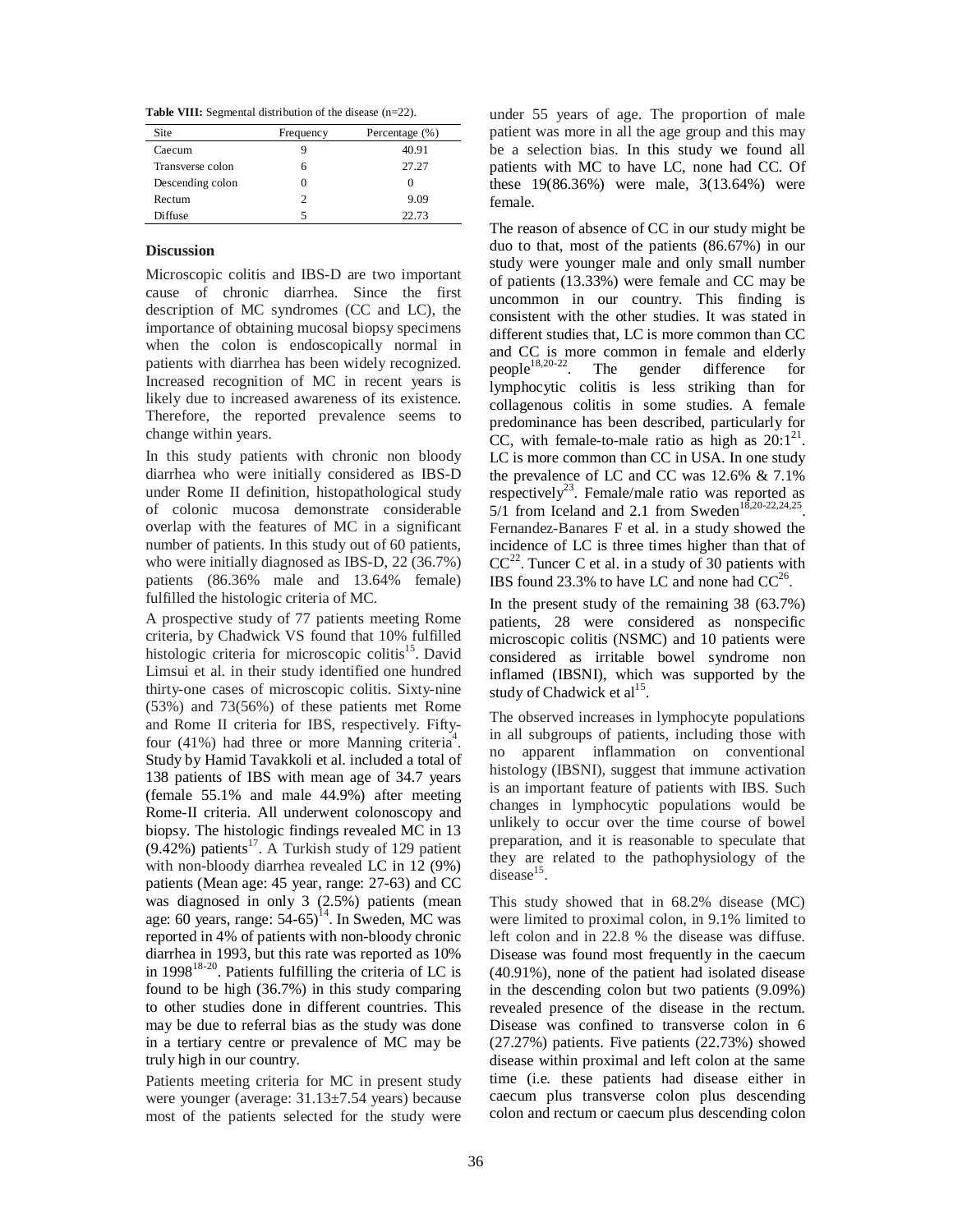**Table VIII:** Segmental distribution of the disease (n=22).

| Site             | Frequency | Percentage (%) |
|------------------|-----------|----------------|
| Caecum           |           | 40.91          |
| Transverse colon | h         | 27.27          |
| Descending colon |           |                |
| Rectum           | 2         | 9.09           |
| Diffuse          |           | 22.73          |

# **Discussion**

Microscopic colitis and IBS-D are two important cause of chronic diarrhea. Since the first description of MC syndromes (CC and LC), the importance of obtaining mucosal biopsy specimens when the colon is endoscopically normal in patients with diarrhea has been widely recognized. Increased recognition of MC in recent years is likely due to increased awareness of its existence. Therefore, the reported prevalence seems to change within years.

In this study patients with chronic non bloody diarrhea who were initially considered as IBS-D under Rome II definition, histopathological study of colonic mucosa demonstrate considerable overlap with the features of MC in a significant number of patients. In this study out of 60 patients, who were initially diagnosed as IBS-D, 22 (36.7%) patients (86.36% male and 13.64% female) fulfilled the histologic criteria of MC.

A prospective study of 77 patients meeting Rome criteria, by Chadwick VS found that 10% fulfilled histologic criteria for microscopic colitis<sup>15</sup>. David Limsui et al. in their study identified one hundred thirty-one cases of microscopic colitis. Sixty-nine (53%) and 73(56%) of these patients met Rome and Rome II criteria for IBS, respectively. Fiftyfour (41%) had three or more Manning criteria<sup>4</sup>. Study by Hamid Tavakkoli et al. included a total of 138 patients of IBS with mean age of 34.7 years (female 55.1% and male 44.9%) after meeting Rome-II criteria. All underwent colonoscopy and biopsy. The histologic findings revealed MC in 13  $(9.42\%)$  patients<sup>17</sup>. A Turkish study of 129 patient with non-bloody diarrhea revealed LC in 12 (9%) patients (Mean age: 45 year, range: 27-63) and CC was diagnosed in only 3 (2.5%) patients (mean age: 60 years, range:  $54-65$ <sup>14</sup>. In Sweden, MC was reported in 4% of patients with non-bloody chronic diarrhea in 1993, but this rate was reported as 10% in 1998<sup>18-20</sup>. Patients fulfilling the criteria of LC is found to be high (36.7%) in this study comparing to other studies done in different countries. This may be due to referral bias as the study was done in a tertiary centre or prevalence of MC may be truly high in our country.

Patients meeting criteria for MC in present study were younger (average: 31.13±7.54 years) because most of the patients selected for the study were under 55 years of age. The proportion of male patient was more in all the age group and this may be a selection bias. In this study we found all patients with MC to have LC, none had CC. Of these 19(86.36%) were male, 3(13.64%) were female.

The reason of absence of CC in our study might be duo to that, most of the patients (86.67%) in our study were younger male and only small number of patients (13.33%) were female and CC may be uncommon in our country. This finding is consistent with the other studies. It was stated in different studies that, LC is more common than CC and CC is more common in female and elderly people<sup>18,20-22</sup>. The gender difference for lymphocytic colitis is less striking than for collagenous colitis in some studies. A female predominance has been described, particularly for CC, with female-to-male ratio as high as  $20:1^{21}$ . LC is more common than CC in USA. In one study the prevalence of LC and CC was 12.6% & 7.1% respectively<sup>23</sup>. Female/male ratio was reported as  $5/1$  from Iceland and 2.1 from Sweden<sup>18,20-22,24,25</sup>. Fernandez-Banares F et al. in a study showed the incidence of LC is three times higher than that of  $CC^{22}$ . Tuncer C et al. in a study of 30 patients with IBS found 23.3% to have LC and none had  $CC^{26}$ .

In the present study of the remaining 38 (63.7%) patients, 28 were considered as nonspecific microscopic colitis (NSMC) and 10 patients were considered as irritable bowel syndrome non inflamed (IBSNI), which was supported by the study of Chadwick et al<sup>15</sup>.

The observed increases in lymphocyte populations in all subgroups of patients, including those with no apparent inflammation on conventional histology (IBSNI), suggest that immune activation is an important feature of patients with IBS. Such changes in lymphocytic populations would be unlikely to occur over the time course of bowel preparation, and it is reasonable to speculate that they are related to the pathophysiology of the disease<sup>15</sup>.

This study showed that in 68.2% disease (MC) were limited to proximal colon, in 9.1% limited to left colon and in 22.8 % the disease was diffuse. Disease was found most frequently in the caecum (40.91%), none of the patient had isolated disease in the descending colon but two patients (9.09%) revealed presence of the disease in the rectum. Disease was confined to transverse colon in 6 (27.27%) patients. Five patients (22.73%) showed disease within proximal and left colon at the same time (i.e. these patients had disease either in caecum plus transverse colon plus descending colon and rectum or caecum plus descending colon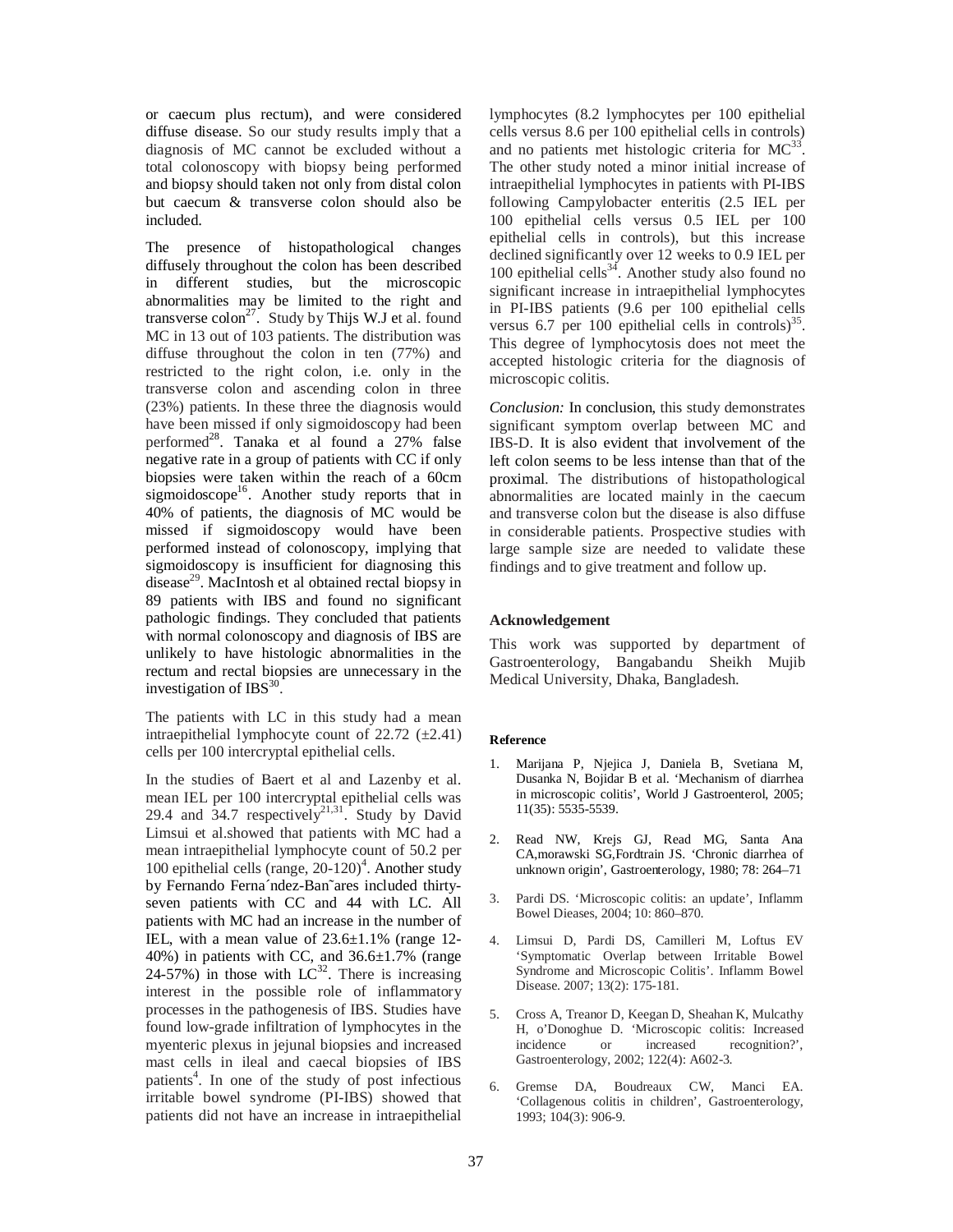or caecum plus rectum), and were considered diffuse disease. So our study results imply that a diagnosis of MC cannot be excluded without a total colonoscopy with biopsy being performed and biopsy should taken not only from distal colon but caecum & transverse colon should also be included.

The presence of histopathological changes diffusely throughout the colon has been described in different studies, but the microscopic abnormalities may be limited to the right and transverse  $\text{colon}^2$ . Study by Thijs W.J et al. found MC in 13 out of 103 patients. The distribution was diffuse throughout the colon in ten (77%) and restricted to the right colon, i.e. only in the transverse colon and ascending colon in three (23%) patients. In these three the diagnosis would have been missed if only sigmoidoscopy had been performed<sup>28</sup>. Tanaka et al found a 27% false negative rate in a group of patients with CC if only biopsies were taken within the reach of a 60cm sigmoidoscope<sup>16</sup>. Another study reports that in 40% of patients, the diagnosis of MC would be missed if sigmoidoscopy would have been performed instead of colonoscopy, implying that sigmoidoscopy is insufficient for diagnosing this disease<sup>29</sup>. MacIntosh et al obtained rectal biopsy in 89 patients with IBS and found no significant pathologic findings. They concluded that patients with normal colonoscopy and diagnosis of IBS are unlikely to have histologic abnormalities in the rectum and rectal biopsies are unnecessary in the investigation of IBS $^{30}$ .

The patients with LC in this study had a mean intraepithelial lymphocyte count of  $22.72$  ( $\pm 2.41$ ) cells per 100 intercryptal epithelial cells.

In the studies of Baert et al and Lazenby et al. mean IEL per 100 intercryptal epithelial cells was 29.4 and  $34.7$  respectively<sup>21,31</sup>. Study by David Limsui et al.showed that patients with MC had a mean intraepithelial lymphocyte count of 50.2 per 100 epithelial cells (range, 20-120)<sup>4</sup>. Another study by Fernando Ferna´ndez-Ban˜ares included thirtyseven patients with CC and 44 with LC. All patients with MC had an increase in the number of IEL, with a mean value of 23.6±1.1% (range 12- 40%) in patients with CC, and  $36.6 \pm 1.7$ % (range 24-57%) in those with  $LC^{32}$ . There is increasing interest in the possible role of inflammatory processes in the pathogenesis of IBS. Studies have found low-grade infiltration of lymphocytes in the myenteric plexus in jejunal biopsies and increased mast cells in ileal and caecal biopsies of IBS patients<sup>4</sup>. In one of the study of post infectious irritable bowel syndrome (PI-IBS) showed that patients did not have an increase in intraepithelial

lymphocytes (8.2 lymphocytes per 100 epithelial cells versus 8.6 per 100 epithelial cells in controls) and no patients met histologic criteria for  $MC^{33}$ . The other study noted a minor initial increase of intraepithelial lymphocytes in patients with PI-IBS following Campylobacter enteritis (2.5 IEL per 100 epithelial cells versus 0.5 IEL per 100 epithelial cells in controls), but this increase declined significantly over 12 weeks to 0.9 IEL per 100 epithelial cells $34$ . Another study also found no significant increase in intraepithelial lymphocytes in PI-IBS patients (9.6 per 100 epithelial cells versus 6.7 per 100 epithelial cells in controls) $35$ . This degree of lymphocytosis does not meet the accepted histologic criteria for the diagnosis of microscopic colitis.

*Conclusion:* In conclusion, this study demonstrates significant symptom overlap between MC and IBS-D. It is also evident that involvement of the left colon seems to be less intense than that of the proximal. The distributions of histopathological abnormalities are located mainly in the caecum and transverse colon but the disease is also diffuse in considerable patients. Prospective studies with large sample size are needed to validate these findings and to give treatment and follow up.

### **Acknowledgement**

This work was supported by department of Gastroenterology, Bangabandu Sheikh Mujib Medical University, Dhaka, Bangladesh.

#### **Reference**

- 1. Marijana P, Njejica J, Daniela B, Svetiana M, Dusanka N, Bojidar B et al. 'Mechanism of diarrhea in microscopic colitis', World J Gastroenterol, 2005; 11(35): 5535-5539.
- 2. Read NW, Krejs GJ, Read MG, Santa Ana CA,morawski SG,Fordtrain JS. 'Chronic diarrhea of unknown origin', Gastroenterology, 1980; 78: 264–71
- 3. Pardi DS. 'Microscopic colitis: an update', Inflamm Bowel Dieases, 2004; 10: 860–870.
- 4. Limsui D, Pardi DS, Camilleri M, Loftus EV 'Symptomatic Overlap between Irritable Bowel Syndrome and Microscopic Colitis'. Inflamm Bowel Disease. 2007; 13(2): 175-181.
- 5. Cross A, Treanor D, Keegan D, Sheahan K, Mulcathy H, o'Donoghue D. 'Microscopic colitis: Increased incidence or increased recognition?', Gastroenterology, 2002; 122(4): A602-3.
- 6. Gremse DA, Boudreaux CW, Manci EA. 'Collagenous colitis in children', Gastroenterology, 1993; 104(3): 906-9.